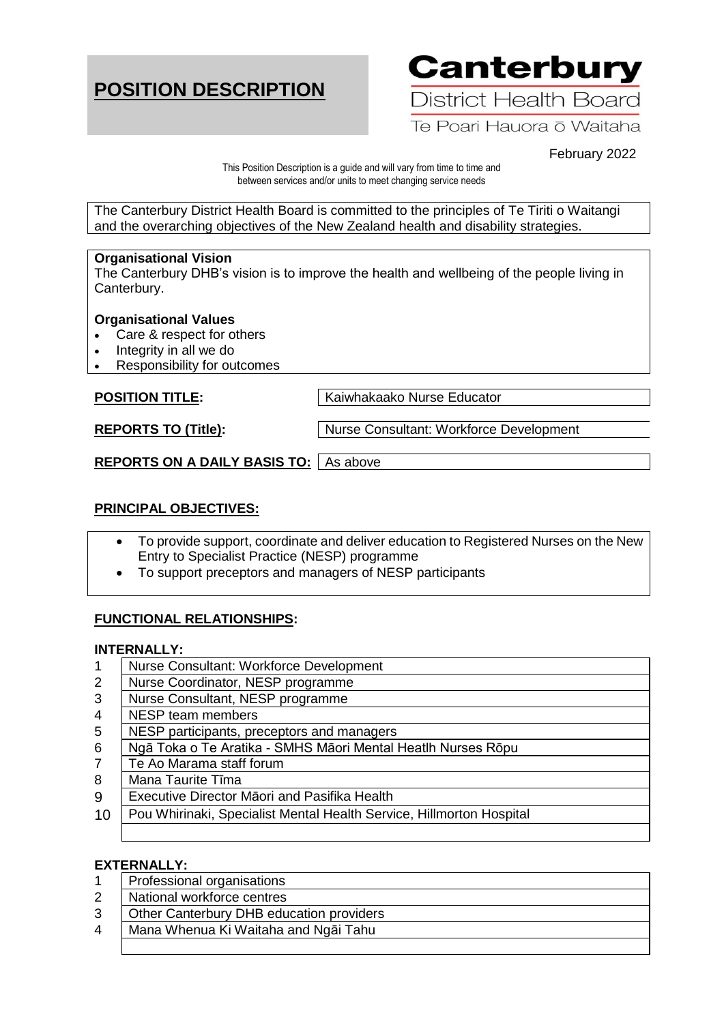# **POSITION DESCRIPTION**

**Canterbury** 

District Health Board

Te Poari Hauora ō Waitaha

February 2022

This Position Description is a guide and will vary from time to time and between services and/or units to meet changing service needs

The Canterbury District Health Board is committed to the principles of Te Tiriti o Waitangi and the overarching objectives of the New Zealand health and disability strategies.

### **Organisational Vision**

The Canterbury DHB's vision is to improve the health and wellbeing of the people living in Canterbury.

### **Organisational Values**

- Care & respect for others
- Integrity in all we do
- Responsibility for outcomes

**POSITION TITLE:** Kaiwhakaako Nurse Educator

**REPORTS TO (Title):** | Nurse Consultant: Workforce Development

**REPORTS ON A DAILY BASIS TO:** As above

# **PRINCIPAL OBJECTIVES:**

- To provide support, coordinate and deliver education to Registered Nurses on the New Entry to Specialist Practice (NESP) programme
- To support preceptors and managers of NESP participants

# **FUNCTIONAL RELATIONSHIPS:**

#### **INTERNALLY:**

- 1 Nurse Consultant: Workforce Development
- 2 Nurse Coordinator, NESP programme
- 3 Nurse Consultant, NESP programme
- 4 NESP team members
- 5 NESP participants, preceptors and managers
- 6 Ngā Toka o Te Aratika SMHS Māori Mental Heatlh Nurses Rōpu
- 7 Te Ao Marama staff forum
- 8 Mana Taurite Tīma
- 9 Executive Director Māori and Pasifika Health
- 10 | Pou Whirinaki, Specialist Mental Health Service, Hillmorton Hospital

#### **EXTERNALLY:**

- 1 | Professional organisations
- 2 | National workforce centres
- 3 Other Canterbury DHB education providers
- 4 Mana Whenua Ki Waitaha and Ngāi Tahu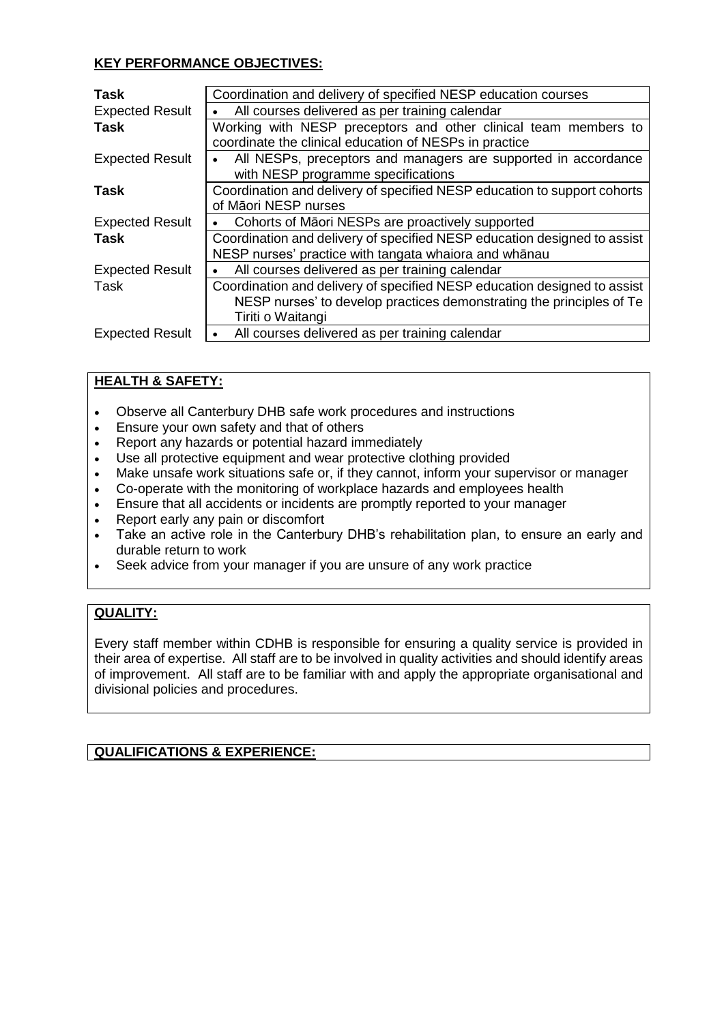# **KEY PERFORMANCE OBJECTIVES:**

| <b>Task</b>            | Coordination and delivery of specified NESP education courses            |
|------------------------|--------------------------------------------------------------------------|
| <b>Expected Result</b> | All courses delivered as per training calendar                           |
| <b>Task</b>            | Working with NESP preceptors and other clinical team members to          |
|                        | coordinate the clinical education of NESPs in practice                   |
| <b>Expected Result</b> | All NESPs, preceptors and managers are supported in accordance           |
|                        | with NESP programme specifications                                       |
| Task                   | Coordination and delivery of specified NESP education to support cohorts |
|                        | of Māori NESP nurses                                                     |
| <b>Expected Result</b> | Cohorts of Māori NESPs are proactively supported                         |
| Task                   | Coordination and delivery of specified NESP education designed to assist |
|                        | NESP nurses' practice with tangata whaiora and whānau                    |
| <b>Expected Result</b> | All courses delivered as per training calendar                           |
| Task                   | Coordination and delivery of specified NESP education designed to assist |
|                        | NESP nurses' to develop practices demonstrating the principles of Te     |
|                        | Tiriti o Waitangi                                                        |
| <b>Expected Result</b> | All courses delivered as per training calendar                           |
|                        |                                                                          |

# **HEALTH & SAFETY:**

- Observe all Canterbury DHB safe work procedures and instructions
- Ensure your own safety and that of others
- Report any hazards or potential hazard immediately
- Use all protective equipment and wear protective clothing provided
- Make unsafe work situations safe or, if they cannot, inform your supervisor or manager
- Co-operate with the monitoring of workplace hazards and employees health
- Ensure that all accidents or incidents are promptly reported to your manager
- Report early any pain or discomfort
- Take an active role in the Canterbury DHB's rehabilitation plan, to ensure an early and durable return to work
- Seek advice from your manager if you are unsure of any work practice

# **QUALITY:**

Every staff member within CDHB is responsible for ensuring a quality service is provided in their area of expertise. All staff are to be involved in quality activities and should identify areas of improvement. All staff are to be familiar with and apply the appropriate organisational and divisional policies and procedures.

# **QUALIFICATIONS & EXPERIENCE:**